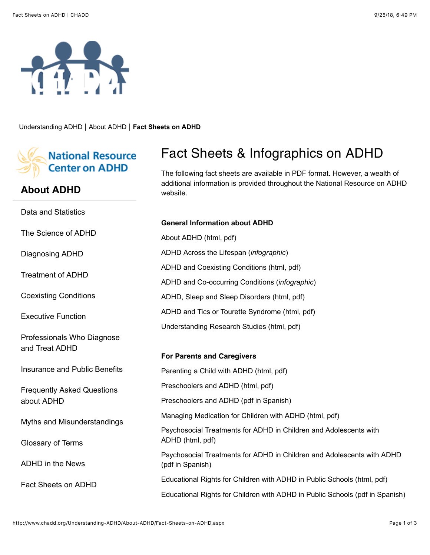

[Understanding ADHD](http://www.chadd.org/NRC.aspx) | [About ADHD](http://www.chadd.org/Understanding-ADHD/About-ADHD.aspx) | **Fact Sheets on ADHD**

# **National Resource<br>Center on ADHD**

### **[About ADHD](http://www.chadd.org/Understanding-ADHD/About-ADHD.aspx)**

| Data and Statistics                             |                                                                                            |
|-------------------------------------------------|--------------------------------------------------------------------------------------------|
| The Science of ADHD                             | <b>General Information about ADHD</b>                                                      |
|                                                 | About ADHD (html, pdf)                                                                     |
| Diagnosing ADHD                                 | ADHD Across the Lifespan (infographic)                                                     |
| <b>Treatment of ADHD</b>                        | ADHD and Coexisting Conditions (html, pdf)                                                 |
|                                                 | ADHD and Co-occurring Conditions (infographic)                                             |
| <b>Coexisting Conditions</b>                    | ADHD, Sleep and Sleep Disorders (html, pdf)                                                |
| <b>Executive Function</b>                       | ADHD and Tics or Tourette Syndrome (html, pdf)                                             |
|                                                 | Understanding Research Studies (html, pdf)                                                 |
| Professionals Who Diagnose                      |                                                                                            |
| and Treat ADHD                                  | <b>For Parents and Caregivers</b>                                                          |
| <b>Insurance and Public Benefits</b>            | Parenting a Child with ADHD (html, pdf)                                                    |
| <b>Frequently Asked Questions</b><br>about ADHD | Preschoolers and ADHD (html, pdf)                                                          |
|                                                 | Preschoolers and ADHD (pdf in Spanish)                                                     |
| Myths and Misunderstandings                     | Managing Medication for Children with ADHD (html, pdf)                                     |
|                                                 | Psychosocial Treatments for ADHD in Children and Adolescents with                          |
| Glossary of Terms                               | ADHD (html, pdf)                                                                           |
| <b>ADHD in the News</b>                         | Psychosocial Treatments for ADHD in Children and Adolescents with ADHD<br>(pdf in Spanish) |
| <b>Fact Sheets on ADHD</b>                      | Educational Rights for Children with ADHD in Public Schools (html, pdf)                    |
|                                                 | Educational Rights for Children with ADHD in Public Schools (pdf in Spanish)               |

[website](http://www.chadd.org/NRC.aspx).

Fact Sheets & Infographics on ADHD

The following fact sheets are available in PDF format. However, a wealth of additional information is provided throughout the National Resource on ADHD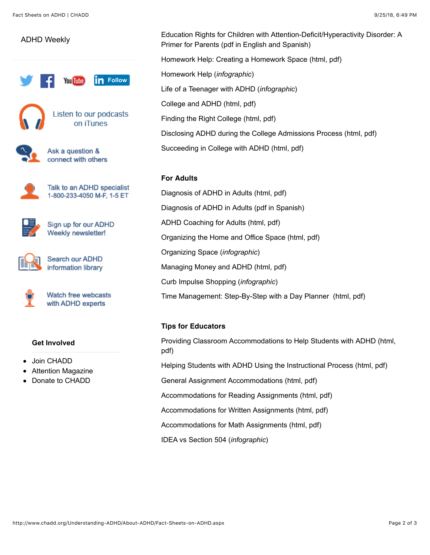## **in** Follow **You Tube** Listen to our podcasts on iTunes Ask a question & connect with others Talk to an ADHD specialist 1-800-233-4050 M-F, 1-5 ET Sign up for our ADHD Weekly newsletter! Search our ADHD information library Watch free webcasts with ADHD experts **Get Involved** [Join CHADD](http://www.chadd.org/Membership/JOIN-CHADD-US-Membership.aspx) [Attention Magazine](http://www.chadd.org/Membership/Attention-Magazine.aspx) [Donate to CHADD](http://www.chadd.org/give.aspx)

[ADHD Weekly](http://www.chadd.org/Understanding-ADHD/About-ADHD/ADHD-Weekly.aspx) Education Rights for Children with Attention-Deficit/Hyperactivity Disorder: A Primer for Parents [\(pdf in English and Spanish](http://www.chadd.org/Portals/0/documents/NRC_Bilingual_Educational_Rights_Guide_2012.pdf)) Homework Help: Creating a Homework Space [\(html](http://www.chadd.org/Understanding-ADHD/For-Parents-Caregivers/Education/Homework-Help-for-ADHD.aspx), [pdf](http://www.chadd.org/portals/0/content/chadd/nrc/factsheets/Homework_Fact_Sheet_2016.pdf)) Homework Help (*[infographic](http://www.chadd.org/portals/0/content/chadd/nrc/infographics/Homework_Help_infographic.pdf)*) Life of a Teenager with ADHD (*[infographic](http://www.chadd.org/Portals/0/Content/CHADD/NRC/Life-of-a-Teenager-with-ADHD.pdf)*) College and ADHD ([html](http://www.chadd.org/Understanding-ADHD/For-Parents-Caregivers/Education/College.aspx), [pdf\)](http://www.chadd.org/Portals/0/Content/CHADD/NRC/Factsheets/CollegeandADHD.pdf) Finding the Right College [\(html](http://www.chadd.org/Understanding-ADHD/For-Parents-Caregivers/Education/College/Finding-the-Right-College.aspx), [pdf](http://www.chadd.org/Portals/0/Content/CHADD/NRC/Factsheets/FindingtheRightCollege.pdf)) Disclosing ADHD during the College Admissions Process [\(html](http://www.chadd.org/Understanding-ADHD/For-Parents-Caregivers/Education/College/Disclosing-ADHD-During-the-Admissions-Process.aspx), [pdf](http://www.chadd.org/Portals/0/Content/CHADD/NRC/Factsheets/DisclosingADHDcollege2.pdf)) Succeeding in College with ADHD ([html](http://www.chadd.org/Understanding-ADHD/For-Parents-Caregivers/Education/College/Succeeding-in-College-with-ADHD.aspx), [pdf\)](http://www.chadd.org/Portals/0/Content/CHADD/NRC/Factsheets/Succeeding%20in%20College.pdf)

#### **For Adults**

Diagnosis of ADHD in Adults [\(html,](http://www.chadd.org/Understanding-ADHD/For-Adults/Diagnosis-of-ADHD.aspx) [pdf\)](http://www.chadd.org/Portals/0/Content/CHADD/NRC/Factsheets/Diagnosis.pdf) Diagnosis of ADHD in Adults [\(pdf in Spanish](http://www.chadd.org/portals/0/content/chadd/nrc/factsheets/DiagnosisofADHDinAdultsSpanishfinal.pdf)) ADHD Coaching for Adults [\(html,](http://www.chadd.org/Understanding-ADHD/About-ADHD/Treatment-of-ADHD/Complementary-and-Other-Interventions/Coaching.aspx) [pdf](http://www.chadd.org/Portals/0/Content/CHADD/NRC/Factsheets/coaching-adults.pdf)) Organizing the Home and Office Space ([html](http://www.chadd.org/Understanding-ADHD/For-Adults/Living-with-ADHD-A-Lifespan-Disorder/Organization-and-Time-Management.aspx), [pdf\)](http://www.chadd.org/Portals/0/Content/CHADD/NRC/Factsheets/organizing.pdf) Organizing Space (*[infographic](http://www.chadd.org/portals/0/content/chadd/nrc/infographics/Organizing_Space_infographic.pdf)*) Managing Money and ADHD [\(html,](http://www.chadd.org/Understanding-ADHD/For-Adults/Living-with-ADHD-A-Lifespan-Disorder/Managing-Money.aspx) [pdf\)](http://www.chadd.org/Portals/0/Content/CHADD/NRC/Factsheets/Money-Management.pdf) Curb Impulse Shopping (*[infographic](http://www.chadd.org/portals/0/content/chadd/nrc/infographics/Curb_Impulse_Shopping_infographic.pdf)*) Time Management: Step-By-Step with a Day Planner ([html](http://www.chadd.org/Understanding-ADHD/For-Adults/Living-with-ADHD-A-Lifespan-Disorder/Time-Management-Step-By-Step-with-a-Day-Planner.aspx), [pdf\)](http://www.chadd.org/Portals/0/Content/CHADD/NRC/Factsheets/Time%20Management%20and%20Using%20a%20Day%20Planner.pdf)

### **Tips for Educators**

Providing Classroom Accommodations to Help Students with ADHD ([html,](http://www.chadd.org/Understanding-ADHD/For-Professionals/For-Teachers/Classroom-Accommodations.aspx) [pdf\)](http://www.chadd.org/Portals/0/Content/CHADD/NRC/Factsheets/ClassroomAccommodations.pdf)

Helping Students with ADHD Using the Instructional Process [\(html,](http://www.chadd.org/Understanding-ADHD/For-Professionals/For-Teachers/Instructional-Process.aspx) [pdf](http://www.chadd.org/Portals/0/Content/CHADD/NRC/Factsheets/InstructionalProcess.pdf))

General Assignment Accommodations [\(html](http://www.chadd.org/Understanding-ADHD/For-Professionals/For-Teachers/Assignment-Accommodations.aspx), [pdf](http://www.chadd.org/Portals/0/Content/CHADD/NRC/Factsheets/GeneralAssignmentAccommodations.pdf))

Accommodations for Reading Assignments ([html,](http://www.chadd.org/Understanding-ADHD/For-Professionals/For-Teachers/Assignment-Accommodations/Reading-Assignments.aspx) [pdf\)](http://www.chadd.org/Portals/0/Content/CHADD/NRC/Factsheets/AccommodationsforReadingAssignments.pdf)

Accommodations for Written Assignments ([html,](http://www.chadd.org/Understanding-ADHD/For-Professionals/For-Teachers/Assignment-Accommodations/Written-Assignments.aspx) [pdf\)](http://www.chadd.org/Portals/0/Content/CHADD/NRC/Factsheets/AccommodationsforWrittenAssignments.pdf)

Accommodations for Math Assignments [\(html,](http://www.chadd.org/Understanding-ADHD/For-Professionals/For-Teachers/Assignment-Accommodations/Math-Assignments.aspx) [pdf](http://www.chadd.org/Portals/0/Content/CHADD/NRC/Factsheets/AccommodationsforMathAssignments.pdf))

IDEA vs Section 504 (*[infographic](http://www.chadd.org/portals/0/Content/CHADD/Documents/NRC/ADHD_IDEA-504.pdf)*)